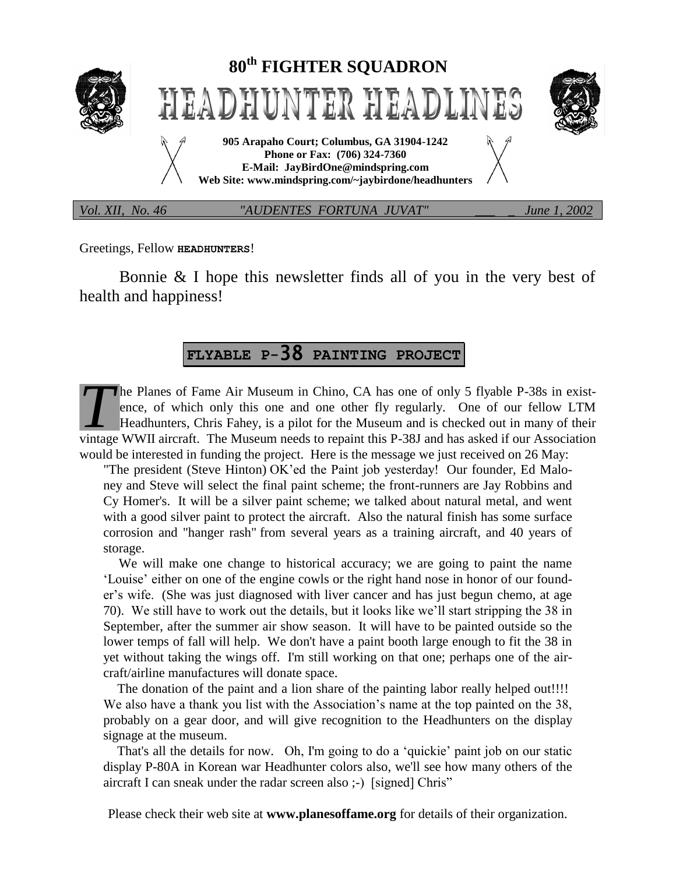

Greetings, Fellow **HEADHUNTERS**!

Bonnie & I hope this newsletter finds all of you in the very best of health and happiness!

# **FLYABLE P-**38 **PAINTING PROJECT**

he Planes of Fame Air Museum in Chino, CA has one of only 5 flyable P-38s in existence, of which only this one and one other fly regularly. One of our fellow LTM Headhunters, Chris Fahey, is a pilot for the Museum and is checked out in many of their The Planes of Fame Air Museum in Chino, CA has one of only 5 flyable P-38s in existence, of which only this one and one other fly regularly. One of our fellow LTM Headhunters, Chris Fahey, is a pilot for the Museum and is would be interested in funding the project. Here is the message we just received on 26 May:

"The president (Steve Hinton) OK'ed the Paint job yesterday! Our founder, Ed Maloney and Steve will select the final paint scheme; the front-runners are Jay Robbins and Cy Homer's. It will be a silver paint scheme; we talked about natural metal, and went with a good silver paint to protect the aircraft. Also the natural finish has some surface corrosion and "hanger rash" from several years as a training aircraft, and 40 years of storage.

 We will make one change to historical accuracy; we are going to paint the name 'Louise' either on one of the engine cowls or the right hand nose in honor of our founder's wife. (She was just diagnosed with liver cancer and has just begun chemo, at age 70). We still have to work out the details, but it looks like we'll start stripping the 38 in September, after the summer air show season. It will have to be painted outside so the lower temps of fall will help. We don't have a paint booth large enough to fit the 38 in yet without taking the wings off. I'm still working on that one; perhaps one of the aircraft/airline manufactures will donate space.

The donation of the paint and a lion share of the painting labor really helped out!!!! We also have a thank you list with the Association's name at the top painted on the 38, probably on a gear door, and will give recognition to the Headhunters on the display signage at the museum.

 That's all the details for now. Oh, I'm going to do a 'quickie' paint job on our static display P-80A in Korean war Headhunter colors also, we'll see how many others of the aircraft I can sneak under the radar screen also ;-) [signed] Chris"

Please check their web site at **www.planesoffame.org** for details of their organization.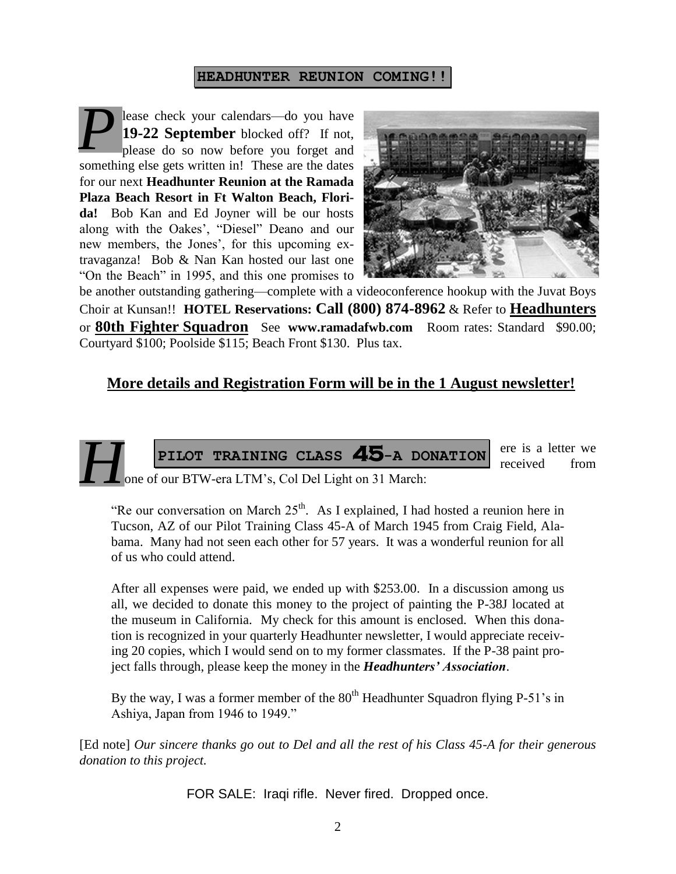#### **HEADHUNTER REUNION COMING!!**

lease check your calendars—do you have **19-22 September** blocked off? If not, please do so now before you forget and something else gets written in! These are the dates for our next **Headhunter Reunion at the Ramada Plaza Beach Resort in Ft Walton Beach, Florida!** Bob Kan and Ed Joyner will be our hosts along with the Oakes', "Diesel" Deano and our new members, the Jones', for this upcoming extravaganza! Bob & Nan Kan hosted our last one "On the Beach" in 1995, and this one promises to *P*



be another outstanding gathering—complete with a videoconference hookup with the Juvat Boys Choir at Kunsan!! **HOTEL Reservations: Call (800) 874-8962** & Refer to **Headhunters** or **80th Fighter Squadron** See **www.ramadafwb.com** Room rates: Standard \$90.00; Courtyard \$100; Poolside \$115; Beach Front \$130. Plus tax.

## **More details and Registration Form will be in the 1 August newsletter!**



"Re our conversation on March  $25<sup>th</sup>$ . As I explained, I had hosted a reunion here in Tucson, AZ of our Pilot Training Class 45-A of March 1945 from Craig Field, Alabama. Many had not seen each other for 57 years. It was a wonderful reunion for all of us who could attend.

After all expenses were paid, we ended up with \$253.00. In a discussion among us all, we decided to donate this money to the project of painting the P-38J located at the museum in California. My check for this amount is enclosed. When this donation is recognized in your quarterly Headhunter newsletter, I would appreciate receiving 20 copies, which I would send on to my former classmates. If the P-38 paint project falls through, please keep the money in the *Headhunters' Association*.

By the way, I was a former member of the  $80<sup>th</sup>$  Headhunter Squadron flying P-51's in Ashiya, Japan from 1946 to 1949."

[Ed note] *Our sincere thanks go out to Del and all the rest of his Class 45-A for their generous donation to this project.*

FOR SALE: Iraqi rifle. Never fired. Dropped once.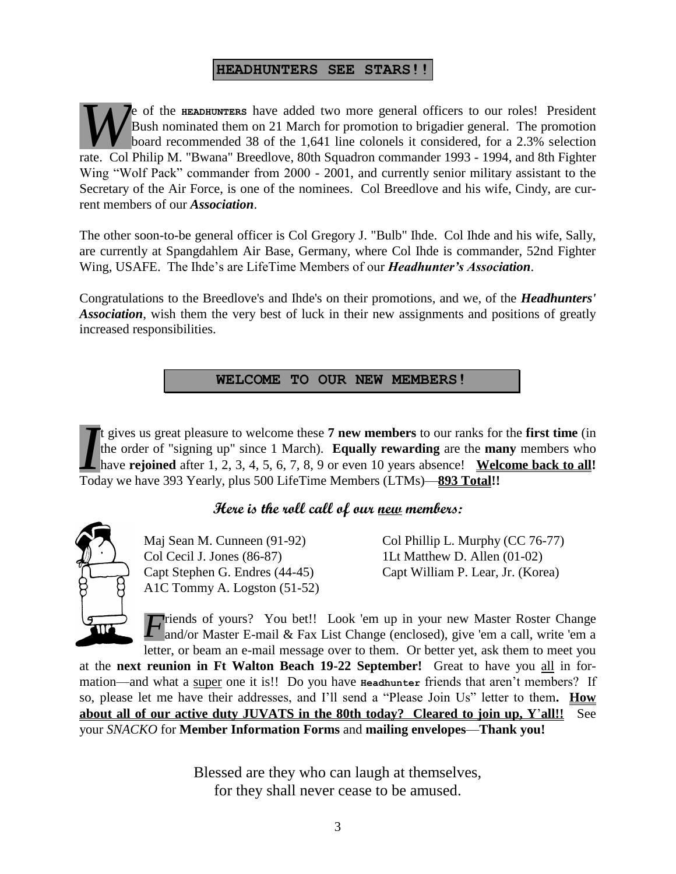#### **HEADHUNTERS SEE STARS!!**

e of the **HEADHUNTERS** have added two more general officers to our roles! President Bush nominated them on 21 March for promotion to brigadier general. The promotion board recommended 38 of the 1,641 line colonels it considered, for a 2.3% selection **FREE COLORED COLORED EXECUTE:** Bush nominated them on 21 March for promotion to brigadier general. The promotion board recommended 38 of the 1,641 line colonels it considered, for a 2.3% selection rate. Col Philip M. "Bwa Wing "Wolf Pack" commander from 2000 - 2001, and currently senior military assistant to the Secretary of the Air Force, is one of the nominees. Col Breedlove and his wife, Cindy, are current members of our *Association*.

The other soon-to-be general officer is Col Gregory J. "Bulb" Ihde. Col Ihde and his wife, Sally, are currently at Spangdahlem Air Base, Germany, where Col Ihde is commander, 52nd Fighter Wing, USAFE. The Ihde's are LifeTime Members of our *Headhunter's Association*.

Congratulations to the Breedlove's and Ihde's on their promotions, and we, of the *Headhunters' Association*, wish them the very best of luck in their new assignments and positions of greatly increased responsibilities.

## **WELCOME TO OUR NEW MEMBERS!**

t gives us great pleasure to welcome these **7 new members** to our ranks for the **first time** (in the order of "signing up" since 1 March). **Equally rewarding** are the **many** members who have **rejoined** after 1, 2, 3, 4, 5, 6, 7, 8, 9 or even 10 years absence! Welcome back to all! Today we have 393 Yearly, plus 500 LifeTime Members (LTMs)—**893 Total!!** *I*

# **Here is the roll call of our new members:**



Col Cecil J. Jones (86-87) 1Lt Matthew D. Allen (01-02) A1C Tommy A. Logston (51-52)

Maj Sean M. Cunneen (91-92) Col Phillip L. Murphy (CC 76-77) Capt Stephen G. Endres (44-45) Capt William P. Lear, Jr. (Korea)

**T**riends of yours? You bet!! Look 'em up in your new Master Roster Change *F* riends of yours? You bet!! Look 'em up in your new Master Roster Change and/or Master E-mail & Fax List Change (enclosed), give 'em a call, write 'em a letter, or beam an e-mail message over to them. Or better yet, ask them to meet you

at the **next reunion in Ft Walton Beach 19-22 September!** Great to have you all in formation—and what a super one it is!! Do you have **Headhunter** friends that aren't members? If so, please let me have their addresses, and I'll send a "Please Join Us" letter to them**. How about all of our active duty JUVATS in the 80th today? Cleared to join up, Y**'**all!!** See your *SNACKO* for **Member Information Forms** and **mailing envelopes**—**Thank you!**

> Blessed are they who can laugh at themselves, for they shall never cease to be amused.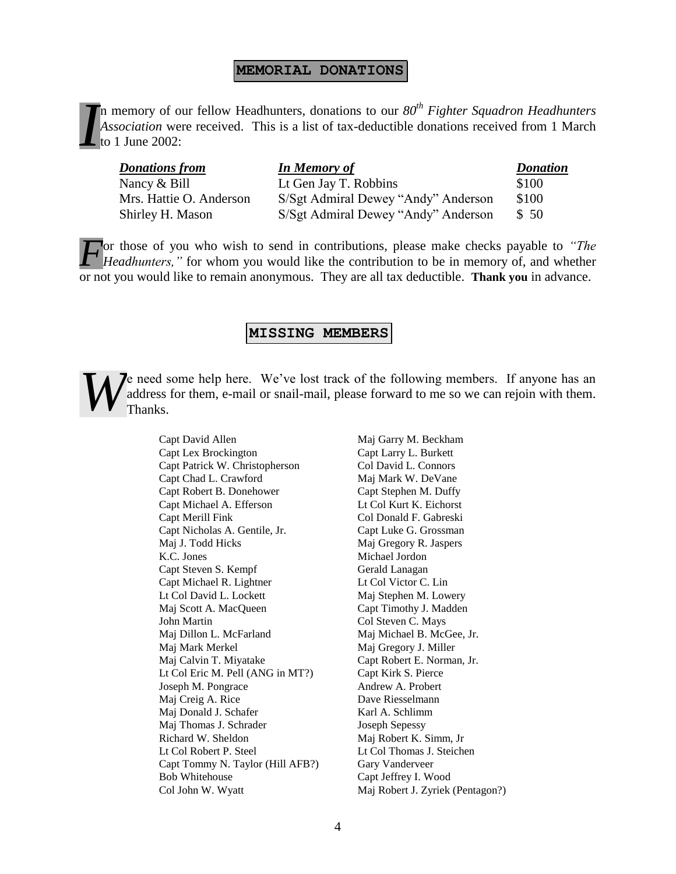#### **MEMORIAL DONATIONS**

n memory of our fellow Headhunters, donations to our *80th Fighter Squadron Headhunters Association* were received. This is a list of tax-deductible donations received from 1 March to 1 June 2002: *I*

| <b>Donations from</b>   | <b>In Memory of</b>                 | <b>Donation</b> |
|-------------------------|-------------------------------------|-----------------|
| Nancy $&$ Bill          | Lt Gen Jay T. Robbins               | \$100           |
| Mrs. Hattie O. Anderson | S/Sgt Admiral Dewey "Andy" Anderson | \$100           |
| Shirley H. Mason        | S/Sgt Admiral Dewey "Andy" Anderson | \$50            |

or those of you who wish to send in contributions, please make checks payable to *"The Headhunters,*" for whom you would like the contribution to be in memory of, and whether or not you would like to remain anonymous. They are all tax deductible. **Thank you** in advance. *F*

#### **MISSING MEMBERS**

e need some help here. We've lost track of the following members. If anyone has an address for them, e-mail or snail-mail, please forward to me so we can rejoin with them. Thanks. *W*

> Capt Lex Brockington Capt Larry L. Burkett Capt Patrick W. Christopherson Col David L. Connors Capt Chad L. Crawford Maj Mark W. DeVane Capt Robert B. Donehower Capt Stephen M. Duffy Capt Michael A. Efferson Lt Col Kurt K. Eichorst Capt Merill Fink Col Donald F. Gabreski Capt Nicholas A. Gentile, Jr. Capt Luke G. Grossman Maj J. Todd Hicks Maj Gregory R. Jaspers K.C. Jones Michael Jordon Capt Steven S. Kempf Gerald Lanagan Capt Michael R. Lightner Lt Col Victor C. Lin Lt Col David L. Lockett Maj Stephen M. Lowery Maj Scott A. MacQueen Capt Timothy J. Madden John Martin Col Steven C. Mays Maj Dillon L. McFarland Maj Michael B. McGee, Jr. Maj Mark Merkel Maj Gregory J. Miller Maj Calvin T. Miyatake Capt Robert E. Norman, Jr. Lt Col Eric M. Pell (ANG in MT?) Capt Kirk S. Pierce Joseph M. Pongrace Andrew A. Probert Maj Creig A. Rice Dave Riesselmann Maj Donald J. Schafer Karl A. Schlimm Maj Thomas J. Schrader Joseph Sepessy Richard W. Sheldon Maj Robert K. Simm, Jr Lt Col Robert P. Steel Lt Col Thomas J. Steichen Capt Tommy N. Taylor (Hill AFB?) Gary Vanderveer Bob Whitehouse Capt Jeffrey I. Wood Col John W. Wyatt Maj Robert J. Zyriek (Pentagon?)

Capt David Allen Maj Garry M. Beckham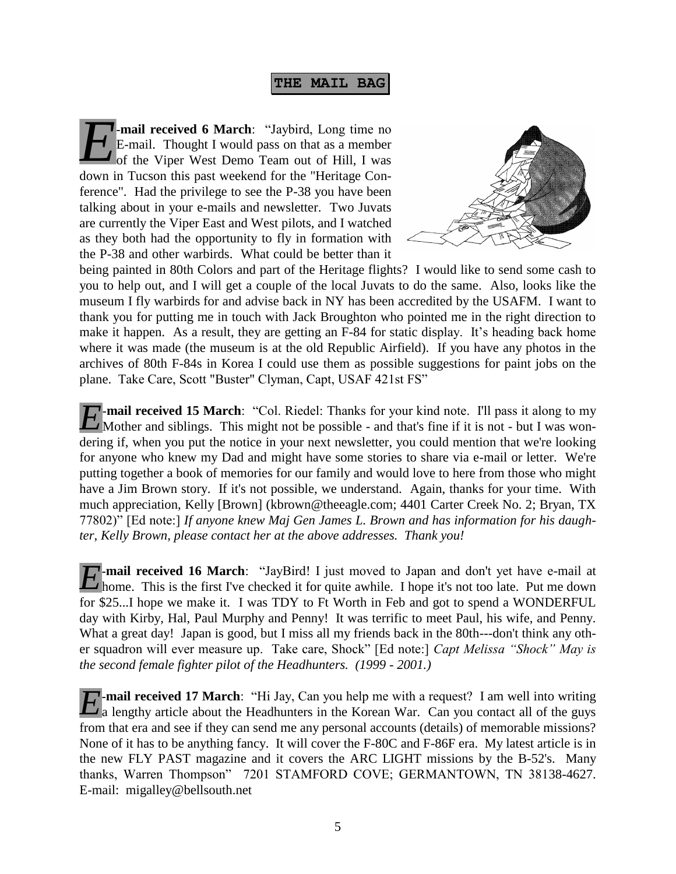**THE MAIL BAG**

**-mail received 6 March**: "Jaybird, Long time no **E**-mail. Thought I would pass on that as a member of the Viper West Demo Team out of Hill, I was down in Tucson this past weekend for the "Heritage Conference". Had the privilege to see the P-38 you have been talking about in your e-mails and newsletter. Two Juvats are currently the Viper East and West pilots, and I watched as they both had the opportunity to fly in formation with the P-38 and other warbirds. What could be better than it *E*



being painted in 80th Colors and part of the Heritage flights? I would like to send some cash to you to help out, and I will get a couple of the local Juvats to do the same. Also, looks like the museum I fly warbirds for and advise back in NY has been accredited by the USAFM. I want to thank you for putting me in touch with Jack Broughton who pointed me in the right direction to make it happen. As a result, they are getting an F-84 for static display. It's heading back home where it was made (the museum is at the old Republic Airfield). If you have any photos in the archives of 80th F-84s in Korea I could use them as possible suggestions for paint jobs on the plane. Take Care, Scott "Buster" Clyman, Capt, USAF 421st FS"

**-mail received 15 March**: "Col. Riedel: Thanks for your kind note. I'll pass it along to my *E*-mail received 15 March: "Col. Riedel: Thanks for your kind note. I'll pass it along to my Mother and siblings. This might not be possible - and that's fine if it is not - but I was wondering if, when you put the notice in your next newsletter, you could mention that we're looking for anyone who knew my Dad and might have some stories to share via e-mail or letter. We're putting together a book of memories for our family and would love to here from those who might have a Jim Brown story. If it's not possible, we understand. Again, thanks for your time. With much appreciation, Kelly [Brown] (kbrown@theeagle.com; 4401 Carter Creek No. 2; Bryan, TX 77802)" [Ed note:] *If anyone knew Maj Gen James L. Brown and has information for his daughter, Kelly Brown, please contact her at the above addresses. Thank you!*

**-mail received 16 March**: "JayBird! I just moved to Japan and don't yet have e-mail at *E*-mail received 16 March: "JayBird! I just moved to Japan and don't yet have e-mail at home. This is the first I've checked it for quite awhile. I hope it's not too late. Put me down for \$25...I hope we make it. I was TDY to Ft Worth in Feb and got to spend a WONDERFUL day with Kirby, Hal, Paul Murphy and Penny! It was terrific to meet Paul, his wife, and Penny. What a great day! Japan is good, but I miss all my friends back in the 80th---don't think any other squadron will ever measure up. Take care, Shock" [Ed note:] *Capt Melissa "Shock" May is the second female fighter pilot of the Headhunters. (1999 - 2001.)*

**-mail received 17 March**: "Hi Jay, Can you help me with a request? I am well into writing *E*<sup>-mail</sup> received 17 March: "Hi Jay, Can you help me with a request? I am well into writing a lengthy article about the Headhunters in the Korean War. Can you contact all of the guys from that era and see if they can send me any personal accounts (details) of memorable missions? None of it has to be anything fancy. It will cover the F-80C and F-86F era. My latest article is in the new FLY PAST magazine and it covers the ARC LIGHT missions by the B-52's. Many thanks, Warren Thompson" 7201 STAMFORD COVE; GERMANTOWN, TN 38138-4627. E-mail: migalley@bellsouth.net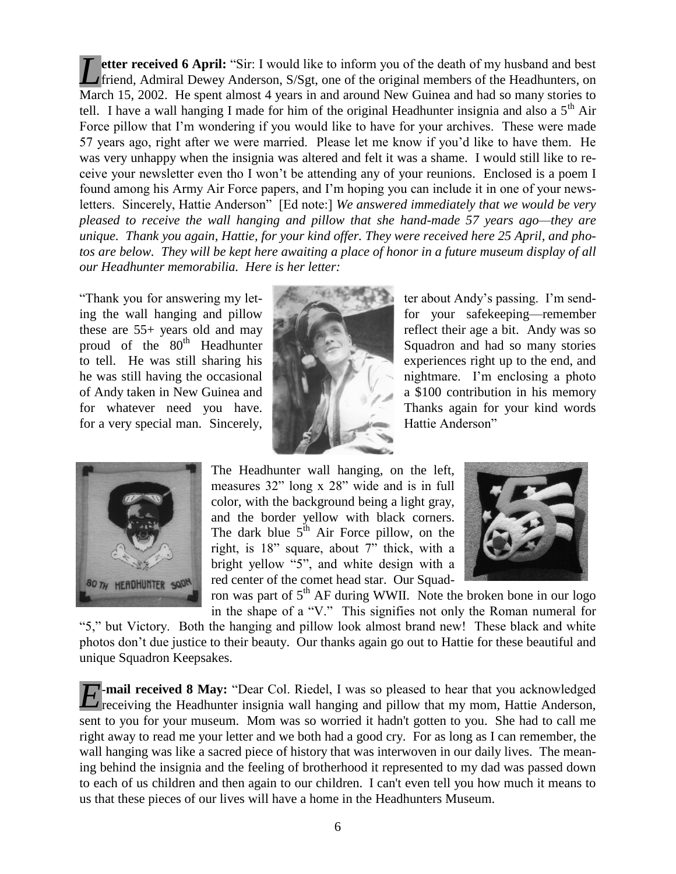**etter received 6 April:** "Sir: I would like to inform you of the death of my husband and best friend, Admiral Dewey Anderson, S/Sgt, one of the original members of the Headhunters, on March 15, 2002. He spent almost 4 years in and around New Guinea and had so many stories to tell. I have a wall hanging I made for him of the original Headhunter insignia and also a  $5<sup>th</sup>$  Air Force pillow that I'm wondering if you would like to have for your archives. These were made 57 years ago, right after we were married. Please let me know if you'd like to have them. He was very unhappy when the insignia was altered and felt it was a shame. I would still like to receive your newsletter even tho I won't be attending any of your reunions. Enclosed is a poem I found among his Army Air Force papers, and I'm hoping you can include it in one of your newsletters. Sincerely, Hattie Anderson" [Ed note:] *We answered immediately that we would be very pleased to receive the wall hanging and pillow that she hand-made 57 years ago—they are unique. Thank you again, Hattie, for your kind offer. They were received here 25 April, and pho*tos are below. They will be kept here awaiting a place of honor in a future museum display of all *our Headhunter memorabilia. Here is her letter: L*

"Thank you for answering my letfor a very special man. Sincerely, Hattie Anderson" Hattie Anderson"





ing the wall hanging and pillow for your safekeeping—remember these are 55+ years old and may **reflect** their age a bit. Andy was so proud of the 80<sup>th</sup> Headhunter Squadron and had so many stories to tell. He was still sharing his experiences right up to the end, and he was still having the occasional nightmare. I'm enclosing a photo of Andy taken in New Guinea and a \$100 contribution in his memory for whatever need you have. Thanks again for your kind words

> The Headhunter wall hanging, on the left, measures 32" long x 28" wide and is in full color, with the background being a light gray, and the border yellow with black corners. The dark blue  $5<sup>th</sup>$  Air Force pillow, on the right, is 18" square, about 7" thick, with a bright yellow "5", and white design with a red center of the comet head star. Our Squad-



ron was part of  $5<sup>th</sup>$  AF during WWII. Note the broken bone in our logo in the shape of a "V." This signifies not only the Roman numeral for

"5," but Victory. Both the hanging and pillow look almost brand new! These black and white photos don't due justice to their beauty. Our thanks again go out to Hattie for these beautiful and unique Squadron Keepsakes.

**-mail received 8 May:** "Dear Col. Riedel, I was so pleased to hear that you acknowledged *E*-mail received 8 May: "Dear Col. Riedel, I was so pleased to hear that you acknowledged receiving the Headhunter insignia wall hanging and pillow that my mom, Hattie Anderson, sent to you for your museum. Mom was so worried it hadn't gotten to you. She had to call me right away to read me your letter and we both had a good cry. For as long as I can remember, the wall hanging was like a sacred piece of history that was interwoven in our daily lives. The meaning behind the insignia and the feeling of brotherhood it represented to my dad was passed down to each of us children and then again to our children. I can't even tell you how much it means to us that these pieces of our lives will have a home in the Headhunters Museum.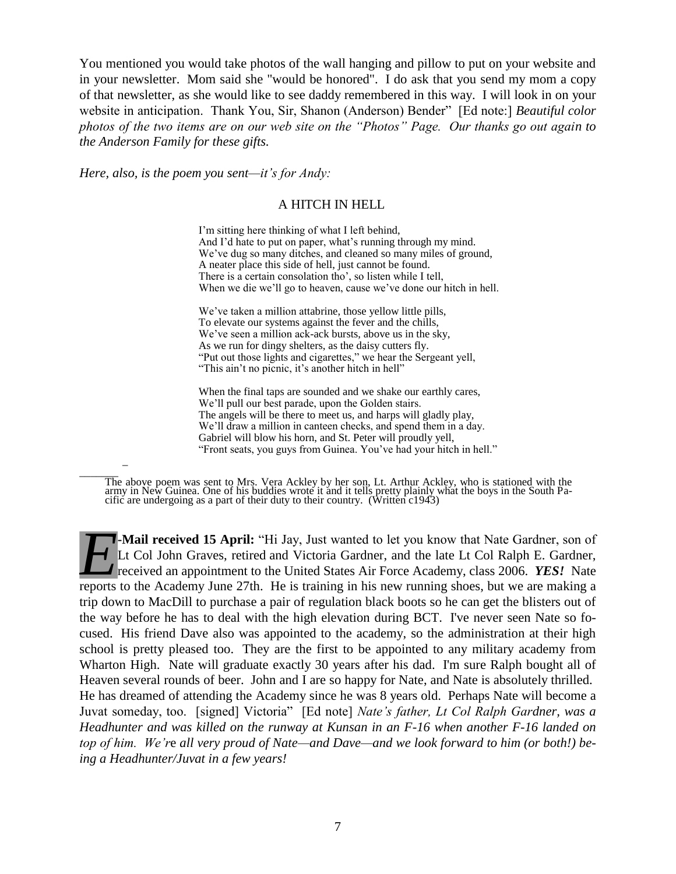You mentioned you would take photos of the wall hanging and pillow to put on your website and in your newsletter. Mom said she "would be honored". I do ask that you send my mom a copy of that newsletter, as she would like to see daddy remembered in this way. I will look in on your website in anticipation. Thank You, Sir, Shanon (Anderson) Bender" [Ed note:] *Beautiful color photos of the two items are on our web site on the "Photos" Page. Our thanks go out again to the Anderson Family for these gifts.* 

*Here, also, is the poem you sent—it's for Andy:*

\_

#### A HITCH IN HELL

I'm sitting here thinking of what I left behind, And I'd hate to put on paper, what's running through my mind. We've dug so many ditches, and cleaned so many miles of ground, A neater place this side of hell, just cannot be found. There is a certain consolation tho', so listen while I tell, When we die we'll go to heaven, cause we've done our hitch in hell.

We've taken a million attabrine, those yellow little pills, To elevate our systems against the fever and the chills, We've seen a million ack-ack bursts, above us in the sky, As we run for dingy shelters, as the daisy cutters fly. "Put out those lights and cigarettes," we hear the Sergeant yell, "This ain't no picnic, it's another hitch in hell"

When the final taps are sounded and we shake our earthly cares, We'll pull our best parade, upon the Golden stairs. The angels will be there to meet us, and harps will gladly play, We'll draw a million in canteen checks, and spend them in a day. Gabriel will blow his horn, and St. Peter will proudly yell, "Front seats, you guys from Guinea. You've had your hitch in hell."

 $\overline{\phantom{a}}$ The above poem was sent to Mrs. Vera Ackley by her son, Lt. Arthur Ackley, who is stationed with the army in New Guinea. One of his buddies wrote it and it tells pretty plainly what the boys in the South Pacific are undergoing as a part of their duty to their country. (Written c1943)

**-Mail received 15 April:** "Hi Jay, Just wanted to let you know that Nate Gardner, son of Lt Col John Graves, retired and Victoria Gardner, and the late Lt Col Ralph E. Gardner, received an appointment to the United States Air Force Academy, class 2006. *YES!* Nate **F**-Mail received 15 April: "Hi Jay, Just wanted to let you know that Nate Gardner, son of Lt Col John Graves, retired and Victoria Gardner, and the late Lt Col Ralph E. Gardner, received an appointment to the United State trip down to MacDill to purchase a pair of regulation black boots so he can get the blisters out of the way before he has to deal with the high elevation during BCT. I've never seen Nate so focused. His friend Dave also was appointed to the academy, so the administration at their high school is pretty pleased too. They are the first to be appointed to any military academy from Wharton High. Nate will graduate exactly 30 years after his dad. I'm sure Ralph bought all of Heaven several rounds of beer. John and I are so happy for Nate, and Nate is absolutely thrilled. He has dreamed of attending the Academy since he was 8 years old. Perhaps Nate will become a Juvat someday, too. [signed] Victoria" [Ed note] *Nate's father, Lt Col Ralph Gardner, was a Headhunter and was killed on the runway at Kunsan in an F-16 when another F-16 landed on top of him. We'r*e *all very proud of Nate—and Dave—and we look forward to him (or both!) being a Headhunter/Juvat in a few years!*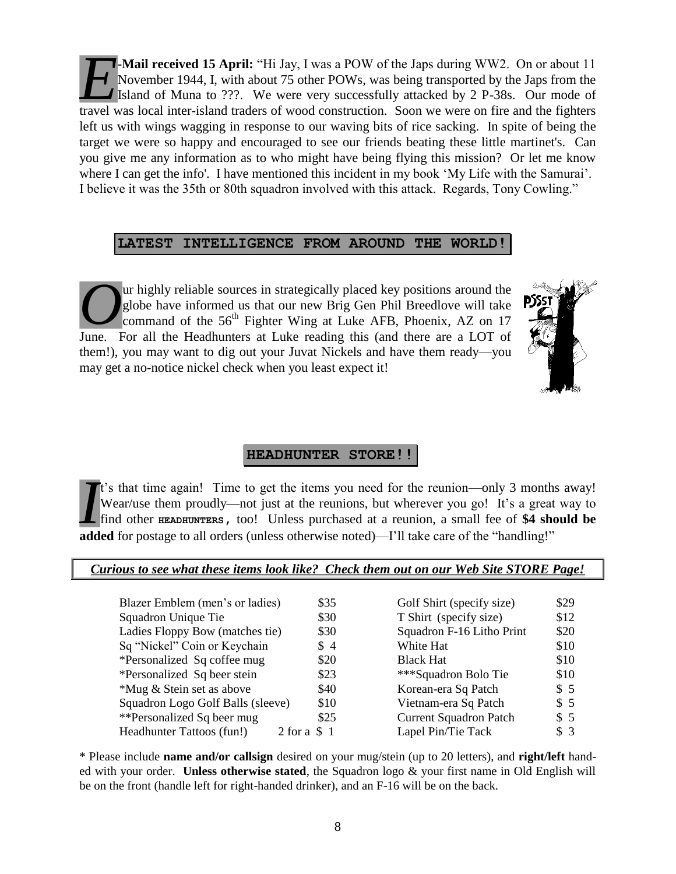**-Mail received 15 April:** "Hi Jay, I was a POW of the Japs during WW2. On or about 11 November 1944, I, with about 75 other POWs, was being transported by the Japs from the Island of Muna to ???. We were very successfully attacked by 2 P-38s. Our mode of **Example 15 April:** "Hi Jay, I was a POW of the Japs during WW2. On or about 11 November 1944, I, with about 75 other POWs, was being transported by the Japs from the Island of Muna to ???. We were very successfully attack left us with wings wagging in response to our waving bits of rice sacking. In spite of being the target we were so happy and encouraged to see our friends beating these little martinet's. Can you give me any information as to who might have being flying this mission? Or let me know where I can get the info'. I have mentioned this incident in my book 'My Life with the Samurai'. I believe it was the 35th or 80th squadron involved with this attack. Regards, Tony Cowling."

#### **LATEST INTELLIGENCE FROM AROUND THE WORLD!**

ur highly reliable sources in strategically placed key positions around the globe have informed us that our new Brig Gen Phil Breedlove will take command of the  $56<sup>th</sup>$  Fighter Wing at Luke AFB, Phoenix, AZ on 17 **O**ur highly reliable sources in strategically placed key positions around the globe have informed us that our new Brig Gen Phil Breedlove will take command of the 56<sup>th</sup> Fighter Wing at Luke AFB, Phoenix, AZ on 17 June. F them!), you may want to dig out your Juvat Nickels and have them ready—you may get a no-notice nickel check when you least expect it!



## **HEADHUNTER STORE!!**

t's that time again! Time to get the items you need for the reunion—only 3 months away! Wear/use them proudly—not just at the reunions, but wherever you go! It's a great way to find other **HEADHUNTERS,** too! Unless purchased at a reunion, a small fee of **\$4 should be a** added for postage to all orders (unless otherwise noted)—I'll take care of the "handling!"<br>**A** find other **EXDHUNTERS**, too! Unless purchased at a reunion, a small fee of \$4 she added for postage to all orders (unless

#### *Curious to see what these items look like? Check them out on our Web Site STORE Page!*

| Blazer Emblem (men's or ladies)               | \$35 | Golf Shirt (specify size)     | \$29 |
|-----------------------------------------------|------|-------------------------------|------|
| Squadron Unique Tie                           | \$30 | T Shirt (specify size)        | \$12 |
| Ladies Floppy Bow (matches tie)               | \$30 | Squadron F-16 Litho Print     | \$20 |
| Sq "Nickel" Coin or Keychain                  | \$4  | White Hat                     | \$10 |
| *Personalized Sq coffee mug                   | \$20 | <b>Black Hat</b>              | \$10 |
| *Personalized Sq beer stein                   | \$23 | ***Squadron Bolo Tie          | \$10 |
| *Mug & Stein set as above                     | \$40 | Korean-era Sq Patch           | \$5  |
| Squadron Logo Golf Balls (sleeve)             | \$10 | Vietnam-era Sq Patch          | \$5  |
| **Personalized Sq beer mug                    | \$25 | <b>Current Squadron Patch</b> | \$5  |
| Headhunter Tattoos (fun!)<br>$2$ for a $\$$ 1 |      | Lapel Pin/Tie Tack            | \$3  |

\* Please include **name and/or callsign** desired on your mug/stein (up to 20 letters), and **right/left** handed with your order. **Unless otherwise stated**, the Squadron logo & your first name in Old English will be on the front (handle left for right-handed drinker), and an F-16 will be on the back.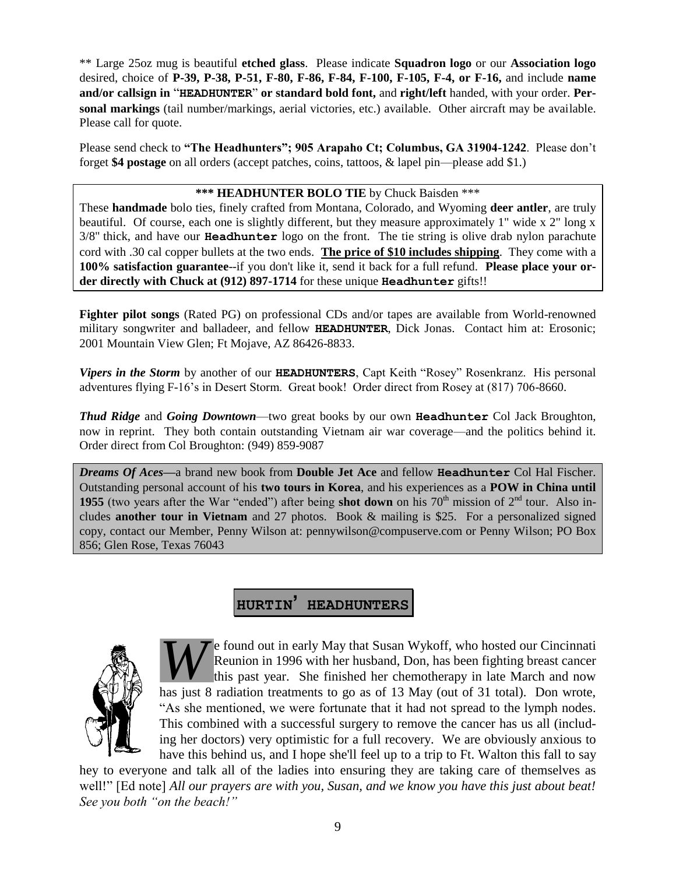\*\* Large 25oz mug is beautiful **etched glass**. Please indicate **Squadron logo** or our **Association logo** desired, choice of **P-39, P-38, P-51, F-80, F-86, F-84, F-100, F-105, F-4, or F-16,** and include **name and/or callsign in** "**HEADHUNTER**" **or standard bold font,** and **right/left** handed, with your order. **Personal markings** (tail number/markings, aerial victories, etc.) available. Other aircraft may be available. Please call for quote.

Please send check to **"The Headhunters"; 905 Arapaho Ct; Columbus, GA 31904-1242**. Please don't forget **\$4 postage** on all orders (accept patches, coins, tattoos, & lapel pin—please add \$1.)

#### **\*\*\* HEADHUNTER BOLO TIE** by Chuck Baisden \*\*\*

These **handmade** bolo ties, finely crafted from Montana, Colorado, and Wyoming **deer antler**, are truly beautiful. Of course, each one is slightly different, but they measure approximately 1" wide x 2" long x 3/8" thick, and have our **Headhunter** logo on the front. The tie string is olive drab nylon parachute cord with .30 cal copper bullets at the two ends. **The price of \$10 includes shipping**. They come with a **100% satisfaction guarantee**--if you don't like it, send it back for a full refund. **Please place your order directly with Chuck at (912) 897-1714** for these unique **Headhunter** gifts!!

**Fighter pilot songs** (Rated PG) on professional CDs and/or tapes are available from World-renowned military songwriter and balladeer, and fellow **HEADHUNTER**, Dick Jonas. Contact him at: Erosonic; 2001 Mountain View Glen; Ft Mojave, AZ 86426-8833.

*Vipers in the Storm* by another of our **HEADHUNTERS**, Capt Keith "Rosey" Rosenkranz. His personal adventures flying F-16's in Desert Storm. Great book! Order direct from Rosey at (817) 706-8660.

*Thud Ridge* and *Going Downtown*—two great books by our own **Headhunter** Col Jack Broughton, now in reprint. They both contain outstanding Vietnam air war coverage—and the politics behind it. Order direct from Col Broughton: (949) 859-9087

*Dreams Of Aces—*a brand new book from **Double Jet Ace** and fellow **Headhunter** Col Hal Fischer. Outstanding personal account of his **two tours in Korea**, and his experiences as a **POW in China until 1955** (two years after the War "ended") after being **shot down** on his  $70<sup>th</sup>$  mission of  $2<sup>nd</sup>$  tour. Also includes **another tour in Vietnam** and 27 photos. Book & mailing is \$25. For a personalized signed copy, contact our Member, Penny Wilson at: pennywilson@compuserve.com or Penny Wilson; PO Box 856; Glen Rose, Texas 76043

# **HURTIN' HEADHUNTERS**



e found out in early May that Susan Wykoff, who hosted our Cincinnati Reunion in 1996 with her husband, Don, has been fighting breast cancer this past year. She finished her chemotherapy in late March and now has just 8 radiation treatments to go as of 13 May (out of 31 total). Don wrote, "As she mentioned, we were fortunate that it had not spread to the lymph nodes. This combined with a successful surgery to remove the cancer has us all (including her doctors) very optimistic for a full recovery. We are obviously anxious to have this behind us, and I hope she'll feel up to a trip to Ft. Walton this fall to say *W*

hey to everyone and talk all of the ladies into ensuring they are taking care of themselves as well!" [Ed note] *All our prayers are with you, Susan, and we know you have this just about beat! See you both "on the beach!"*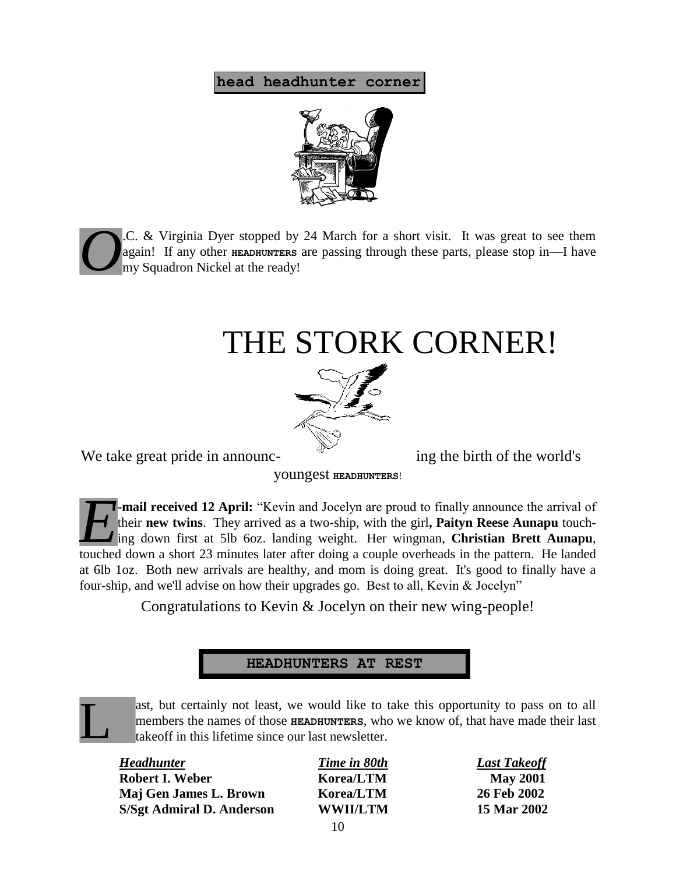## **head headhunter corner**



.C. & Virginia Dyer stopped by 24 March for a short visit. It was great to see them again! If any other **HEADHUNTERS** are passing through these parts, please stop in—I have my Squadron Nickel at the ready! *O*

# THE STORK CORNER!



We take great pride in announc-<br>ing the birth of the world's

L

youngest **HEADHUNTERS**!

**-mail received 12 April:** "Kevin and Jocelyn are proud to finally announce the arrival of their **new twins**. They arrived as a two-ship, with the girl**, Paityn Reese Aunapu** touching down first at 5lb 6oz. landing weight. Her wingman, **Christian Brett Aunapu**, **touch and increase the arrival of** their new twins. They arrived as a two-ship, with the girl, **Paityn Reese Aunapu** touching down first at 5lb 6oz. landing weight. Her wingman, **Christian Brett Aunapu**, touched down a sh at 6lb 1oz. Both new arrivals are healthy, and mom is doing great. It's good to finally have a four-ship, and we'll advise on how their upgrades go. Best to all, Kevin & Jocelyn"

Congratulations to Kevin & Jocelyn on their new wing-people!

## **HEADHUNTERS AT REST**

ast, but certainly not least, we would like to take this opportunity to pass on to all members the names of those **HEADHUNTERS**, who we know of, that have made their last takeoff in this lifetime since our last newsletter.

| <b>Headhunter</b>         | Time in 80th    | <b>Last Takeoff</b> |
|---------------------------|-----------------|---------------------|
| Robert I. Weber           | Korea/LTM       | <b>May 2001</b>     |
| Maj Gen James L. Brown    | Korea/LTM       | 26 Feb 2002         |
| S/Sgt Admiral D. Anderson | <b>WWII/LTM</b> | 15 Mar 2002         |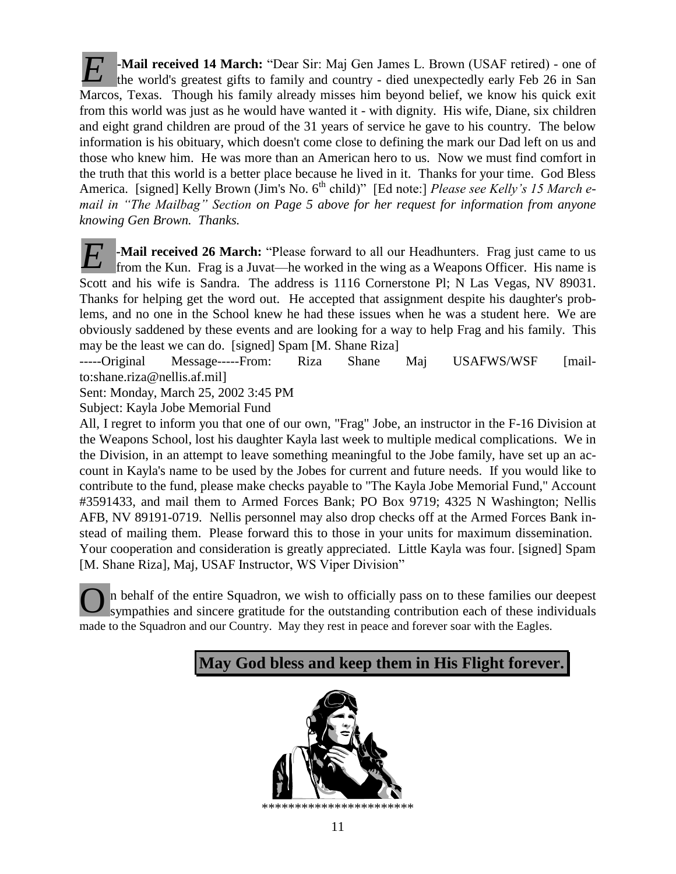**-Mail received 14 March:** "Dear Sir: Maj Gen James L. Brown (USAF retired) - one of the world's greatest gifts to family and country - died unexpectedly early Feb 26 in San Marcos, Texas. Though his family already misses him beyond belief, we know his quick exit from this world was just as he would have wanted it - with dignity. His wife, Diane, six children and eight grand children are proud of the 31 years of service he gave to his country. The below information is his obituary, which doesn't come close to defining the mark our Dad left on us and those who knew him. He was more than an American hero to us. Now we must find comfort in the truth that this world is a better place because he lived in it. Thanks for your time. God Bless America. [signed] Kelly Brown (Jim's No. 6<sup>th</sup> child)" [Ed note:] *Please see Kelly's 15 March email in "The Mailbag" Section on Page 5 above for her request for information from anyone knowing Gen Brown. Thanks. E*

**-Mail received 26 March:** "Please forward to all our Headhunters. Frag just came to us from the Kun. Frag is a Juvat—he worked in the wing as a Weapons Officer. His name is Scott and his wife is Sandra. The address is 1116 Cornerstone Pl; N Las Vegas, NV 89031. Thanks for helping get the word out. He accepted that assignment despite his daughter's problems, and no one in the School knew he had these issues when he was a student here. We are obviously saddened by these events and are looking for a way to help Frag and his family. This may be the least we can do. [signed] Spam [M. Shane Riza] *E*

-----Original Message-----From: Riza Shane Maj USAFWS/WSF [mailto:shane.riza@nellis.af.mil]

Sent: Monday, March 25, 2002 3:45 PM

Subject: Kayla Jobe Memorial Fund

All, I regret to inform you that one of our own, "Frag" Jobe, an instructor in the F-16 Division at the Weapons School, lost his daughter Kayla last week to multiple medical complications. We in the Division, in an attempt to leave something meaningful to the Jobe family, have set up an account in Kayla's name to be used by the Jobes for current and future needs. If you would like to contribute to the fund, please make checks payable to "The Kayla Jobe Memorial Fund," Account #3591433, and mail them to Armed Forces Bank; PO Box 9719; 4325 N Washington; Nellis AFB, NV 89191-0719. Nellis personnel may also drop checks off at the Armed Forces Bank instead of mailing them. Please forward this to those in your units for maximum dissemination. Your cooperation and consideration is greatly appreciated. Little Kayla was four. [signed] Spam [M. Shane Riza], Maj, USAF Instructor, WS Viper Division"

n behalf of the entire Squadron, we wish to officially pass on to these families our deepest sympathies and sincere gratitude for the outstanding contribution each of these individuals made to the Squadron and our Country. May they rest in peace and forever soar with the Eagles. O



\*\*\*\*\*\*\*\*\*\*\*\*\*\*\*\*\*\*\*\*\*\*\*